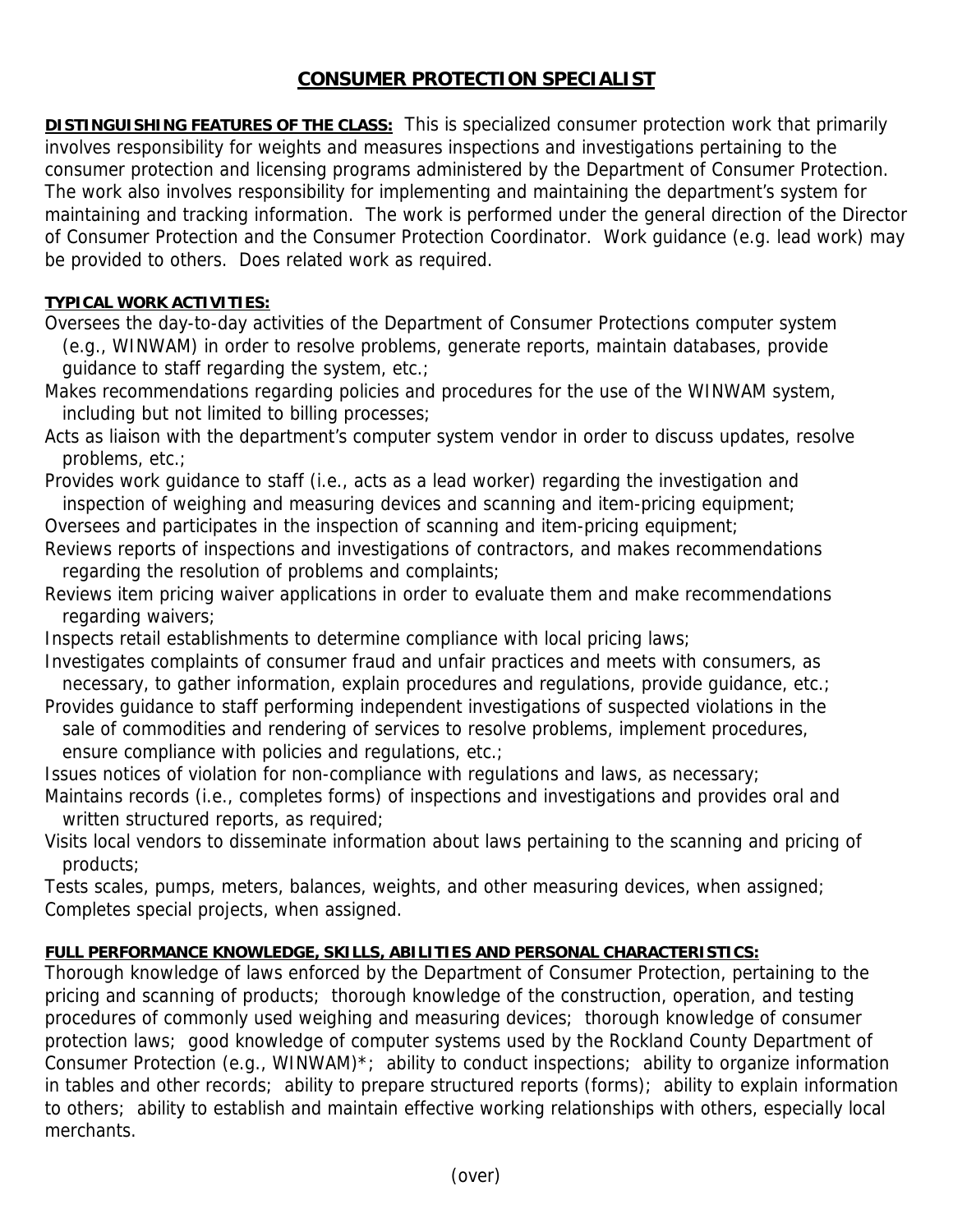## **CONSUMER PROTECTION SPECIALIST**

**DISTINGUISHING FEATURES OF THE CLASS:** This is specialized consumer protection work that primarily involves responsibility for weights and measures inspections and investigations pertaining to the consumer protection and licensing programs administered by the Department of Consumer Protection. The work also involves responsibility for implementing and maintaining the department's system for maintaining and tracking information. The work is performed under the general direction of the Director of Consumer Protection and the Consumer Protection Coordinator. Work guidance (e.g. lead work) may be provided to others. Does related work as required.

## **TYPICAL WORK ACTIVITIES:**

Oversees the day-to-day activities of the Department of Consumer Protections computer system (e.g., WINWAM) in order to resolve problems, generate reports, maintain databases, provide guidance to staff regarding the system, etc.;

Makes recommendations regarding policies and procedures for the use of the WINWAM system, including but not limited to billing processes;

Acts as liaison with the department's computer system vendor in order to discuss updates, resolve problems, etc.;

Provides work guidance to staff (i.e., acts as a lead worker) regarding the investigation and inspection of weighing and measuring devices and scanning and item-pricing equipment;

Oversees and participates in the inspection of scanning and item-pricing equipment;

- Reviews reports of inspections and investigations of contractors, and makes recommendations regarding the resolution of problems and complaints;
- Reviews item pricing waiver applications in order to evaluate them and make recommendations regarding waivers;

Inspects retail establishments to determine compliance with local pricing laws;

Investigates complaints of consumer fraud and unfair practices and meets with consumers, as necessary, to gather information, explain procedures and regulations, provide guidance, etc.;

Provides guidance to staff performing independent investigations of suspected violations in the sale of commodities and rendering of services to resolve problems, implement procedures, ensure compliance with policies and regulations, etc.;

Issues notices of violation for non-compliance with regulations and laws, as necessary;

Maintains records (i.e., completes forms) of inspections and investigations and provides oral and written structured reports, as required;

Visits local vendors to disseminate information about laws pertaining to the scanning and pricing of products;

Tests scales, pumps, meters, balances, weights, and other measuring devices, when assigned; Completes special projects, when assigned.

## **FULL PERFORMANCE KNOWLEDGE, SKILLS, ABILITIES AND PERSONAL CHARACTERISTICS:**

Thorough knowledge of laws enforced by the Department of Consumer Protection, pertaining to the pricing and scanning of products; thorough knowledge of the construction, operation, and testing procedures of commonly used weighing and measuring devices; thorough knowledge of consumer protection laws; good knowledge of computer systems used by the Rockland County Department of Consumer Protection (e.g., WINWAM)\*; ability to conduct inspections; ability to organize information in tables and other records; ability to prepare structured reports (forms); ability to explain information to others; ability to establish and maintain effective working relationships with others, especially local merchants.